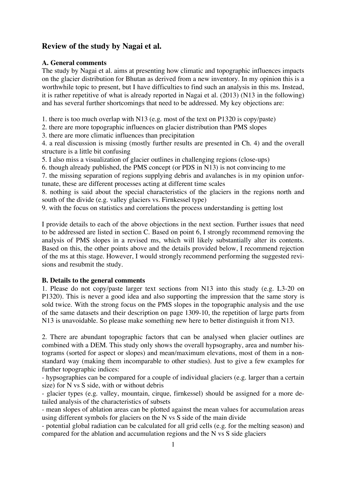# **Review of the study by Nagai et al.**

# **A. General comments**

The study by Nagai et al. aims at presenting how climatic and topographic influences impacts on the glacier distribution for Bhutan as derived from a new inventory. In my opinion this is a worthwhile topic to present, but I have difficulties to find such an analysis in this ms. Instead, it is rather repetitive of what is already reported in Nagai et al. (2013) (N13 in the following) and has several further shortcomings that need to be addressed. My key objections are:

1. there is too much overlap with N13 (e.g. most of the text on P1320 is copy/paste)

2. there are more topographic influences on glacier distribution than PMS slopes

3. there are more climatic influences than precipitation

4. a real discussion is missing (mostly further results are presented in Ch. 4) and the overall structure is a little bit confusing

5. I also miss a visualization of glacier outlines in challenging regions (close-ups)

6. though already published, the PMS concept (or PDS in N13) is not convincing to me

7. the missing separation of regions supplying debris and avalanches is in my opinion unfortunate, these are different processes acting at different time scales

8. nothing is said about the special characteristics of the glaciers in the regions north and south of the divide (e.g. valley glaciers vs. Firnkessel type)

9. with the focus on statistics and correlations the process understanding is getting lost

I provide details to each of the above objections in the next section. Further issues that need to be addressed are listed in section C. Based on point 6, I strongly recommend removing the analysis of PMS slopes in a revised ms, which will likely substantially alter its contents. Based on this, the other points above and the details provided below, I recommend rejection of the ms at this stage. However, I would strongly recommend performing the suggested revisions and resubmit the study.

# **B. Details to the general comments**

1. Please do not copy/paste larger text sections from N13 into this study (e.g. L3-20 on P1320). This is never a good idea and also supporting the impression that the same story is sold twice. With the strong focus on the PMS slopes in the topographic analysis and the use of the same datasets and their description on page 1309-10, the repetition of large parts from N13 is unavoidable. So please make something new here to better distinguish it from N13.

2. There are abundant topographic factors that can be analysed when glacier outlines are combined with a DEM. This study only shows the overall hypsography, area and number histograms (sorted for aspect or slopes) and mean/maximum elevations, most of them in a nonstandard way (making them incomparable to other studies). Just to give a few examples for further topographic indices:

- hypsographies can be compared for a couple of individual glaciers (e.g. larger than a certain size) for N vs S side, with or without debris

- glacier types (e.g. valley, mountain, cirque, firnkessel) should be assigned for a more detailed analysis of the characteristics of subsets

- mean slopes of ablation areas can be plotted against the mean values for accumulation areas using different symbols for glaciers on the N vs S side of the main divide

- potential global radiation can be calculated for all grid cells (e.g. for the melting season) and compared for the ablation and accumulation regions and the N vs S side glaciers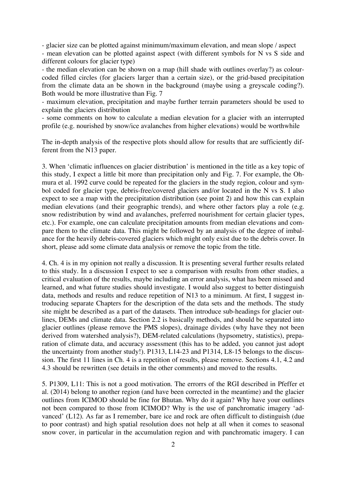- glacier size can be plotted against minimum/maximum elevation, and mean slope / aspect

- mean elevation can be plotted against aspect (with different symbols for N vs S side and different colours for glacier type)

- the median elevation can be shown on a map (hill shade with outlines overlay?) as colourcoded filled circles (for glaciers larger than a certain size), or the grid-based precipitation from the climate data an be shown in the background (maybe using a greyscale coding?). Both would be more illustrative than Fig. 7

- maximum elevation, precipitation and maybe further terrain parameters should be used to explain the glaciers distribution

- some comments on how to calculate a median elevation for a glacier with an interrupted profile (e.g. nourished by snow/ice avalanches from higher elevations) would be worthwhile

The in-depth analysis of the respective plots should allow for results that are sufficiently different from the N13 paper.

3. When 'climatic influences on glacier distribution' is mentioned in the title as a key topic of this study, I expect a little bit more than precipitation only and Fig. 7. For example, the Ohmura et al. 1992 curve could be repeated for the glaciers in the study region, colour and symbol coded for glacier type, debris-free/covered glaciers and/or located in the N vs S. I also expect to see a map with the precipitation distribution (see point 2) and how this can explain median elevations (and their geographic trends), and where other factors play a role (e.g. snow redistribution by wind and avalanches, preferred nourishment for certain glacier types, etc.). For example, one can calculate precipitation amounts from median elevations and compare them to the climate data. This might be followed by an analysis of the degree of imbalance for the heavily debris-covered glaciers which might only exist due to the debris cover. In short, please add some climate data analysis or remove the topic from the title.

4. Ch. 4 is in my opinion not really a discussion. It is presenting several further results related to this study. In a discussion I expect to see a comparison with results from other studies, a critical evaluation of the results, maybe including an error analysis, what has been missed and learned, and what future studies should investigate. I would also suggest to better distinguish data, methods and results and reduce repetition of N13 to a minimum. At first, I suggest introducing separate Chapters for the description of the data sets and the methods. The study site might be described as a part of the datasets. Then introduce sub-headings for glacier outlines, DEMs and climate data. Section 2.2 is basically methods, and should be separated into glacier outlines (please remove the PMS slopes), drainage divides (why have they not been derived from watershed analysis?), DEM-related calculations (hypsometry, statistics), preparation of climate data, and accuracy assessment (this has to be added, you cannot just adopt the uncertainty from another study!). P1313, L14-23 and P1314, L8-15 belongs to the discussion. The first 11 lines in Ch. 4 is a repetition of results, please remove. Sections 4.1, 4.2 and 4.3 should be rewritten (see details in the other comments) and moved to the results.

5. P1309, L11: This is not a good motivation. The errorrs of the RGI described in Pfeffer et al. (2014) belong to another region (and have been corrected in the meantime) and the glacier outlines from ICIMOD should be fine for Bhutan. Why do it again? Why have your outlines not been compared to those from ICIMOD? Why is the use of panchromatic imagery 'advanced' (L12). As far as I remember, bare ice and rock are often difficult to distinguish (due to poor contrast) and high spatial resolution does not help at all when it comes to seasonal snow cover, in particular in the accumulation region and with panchromatic imagery. I can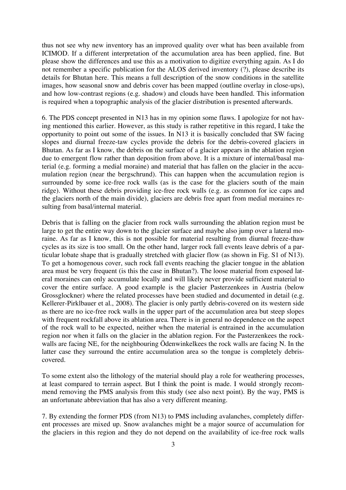thus not see why new inventory has an improved quality over what has been available from ICIMOD. If a different interpretation of the accumulation area has been applied, fine. But please show the differences and use this as a motivation to digitize everything again. As I do not remember a specific publication for the ALOS derived inventory (?), please describe its details for Bhutan here. This means a full description of the snow conditions in the satellite images, how seasonal snow and debris cover has been mapped (outline overlay in close-ups), and how low-contrast regions (e.g. shadow) and clouds have been handled. This information is required when a topographic analysis of the glacier distribution is presented afterwards.

6. The PDS concept presented in N13 has in my opinion some flaws. I apologize for not having mentioned this earlier. However, as this study is rather repetitive in this regard, I take the opportunity to point out some of the issues. In N13 it is basically concluded that SW facing slopes and diurnal freeze-taw cycles provide the debris for the debris-covered glaciers in Bhutan. As far as I know, the debris on the surface of a glacier appears in the ablation region due to emergent flow rather than deposition from above. It is a mixture of internal/basal material (e.g. forming a medial moraine) and material that has fallen on the glacier in the accumulation region (near the bergschrund). This can happen when the accumulation region is surrounded by some ice-free rock walls (as is the case for the glaciers south of the main ridge). Without these debris providing ice-free rock walls (e.g. as common for ice caps and the glaciers north of the main divide), glaciers are debris free apart from medial moraines resulting from basal/internal material.

Debris that is falling on the glacier from rock walls surrounding the ablation region must be large to get the entire way down to the glacier surface and maybe also jump over a lateral moraine. As far as I know, this is not possible for material resulting from diurnal freeze-thaw cycles as its size is too small. On the other hand, larger rock fall events leave debris of a particular lobate shape that is gradually stretched with glacier flow (as shown in Fig. S1 of N13). To get a homogenous cover, such rock fall events reaching the glacier tongue in the ablation area must be very frequent (is this the case in Bhutan?). The loose material from exposed lateral moraines can only accumulate locally and will likely never provide sufficient material to cover the entire surface. A good example is the glacier Pasterzenkees in Austria (below Grossglockner) where the related processes have been studied and documented in detail (e.g. Kellerer-Pirklbauer et al., 2008). The glacier is only partly debris-covered on its western side as there are no ice-free rock walls in the upper part of the accumulation area but steep slopes with frequent rockfall above its ablation area. There is in general no dependence on the aspect of the rock wall to be expected, neither when the material is entrained in the accumulation region nor when it falls on the glacier in the ablation region. For the Pasterzenkees the rockwalls are facing NE, for the neighbouring Ödenwinkelkees the rock walls are facing N. In the latter case they surround the entire accumulation area so the tongue is completely debriscovered.

To some extent also the lithology of the material should play a role for weathering processes, at least compared to terrain aspect. But I think the point is made. I would strongly recommend removing the PMS analysis from this study (see also next point). By the way, PMS is an unfortunate abbreviation that has also a very different meaning.

7. By extending the former PDS (from N13) to PMS including avalanches, completely different processes are mixed up. Snow avalanches might be a major source of accumulation for the glaciers in this region and they do not depend on the availability of ice-free rock walls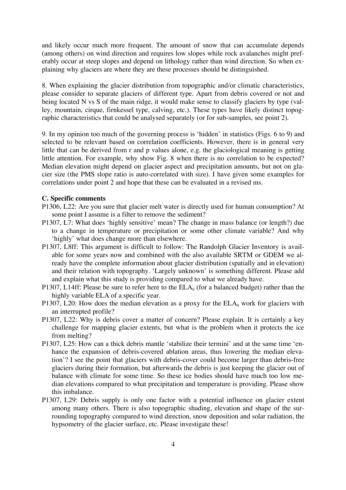and likely occur much more frequent. The amount of snow that can accumulate depends (among others) on wind direction and requires low slopes while rock avalanches might preferably occur at steep slopes and depend on lithology rather than wind direction. So when explaining why glaciers are where they are these processes should be distinguished.

8. When explaining the glacier distribution from topographic and/or climatic characteristics, please consider to separate glaciers of different type. Apart from debris covered or not and being located N vs S of the main ridge, it would make sense to classify glaciers by type (valley, mountain, cirque, firnkessel type, calving, etc.). These types have likely distinct topographic characteristics that could be analysed separately (or for sub-samples, see point 2).

9. In my opinion too much of the governing process is 'hidden' in statistics (Figs. 6 to 9) and selected to be relevant based on correlation coefficients. However, there is in general very little that can be derived from r and p values alone, e.g. the glaciological meaning is getting little attention. For example, why show Fig. 8 when there is no correlation to be expected? Median elevation might depend on glacier aspect and precipitation amounts, but not on glacier size (the PMS slope ratio is auto-correlated with size). I have given some examples for correlations under point 2 and hope that these can be evaluated in a revised ms.

#### **C. Specific comments**

- P1306, L22: Are you sure that glacier melt water is directly used for human consumption? At some point I assume is a filter to remove the sediment?
- P1307, L7: What does 'highly sensitive' mean? The change in mass balance (or length?) due to a change in temperature or precipitation or some other climate variable? And why 'highly' what does change more than elsewhere.
- P1307, L8ff: This argument is difficult to follow: The Randolph Glacier Inventory is available for some years now and combined with the also available SRTM or GDEM we already have the complete information about glacier distribution (spatially and in elevation) and their relation with topography. 'Largely unknown' is something different. Please add and explain what this study is providing compared to what we already have.
- P1307, L14ff: Please be sure to refer here to the  $ELA<sub>0</sub>$  (for a balanced budget) rather than the highly variable ELA of a specific year.
- P1307, L20: How does the median elevation as a proxy for the  $ELA<sub>0</sub>$  work for glaciers with an interrupted profile?
- P1307, L22: Why is debris cover a matter of concern? Please explain. It is certainly a key challenge for mapping glacier extents, but what is the problem when it protects the ice from melting?
- P1307, L25: How can a thick debris mantle 'stabilize their termini' and at the same time 'enhance the expansion of debris-covered ablation areas, thus lowering the median elevation'? I see the point that glaciers with debris-cover could become larger than debris-free glaciers during their formation, but afterwards the debris is just keeping the glacier out of balance with climate for some time. So these ice bodies should have much too low median elevations compared to what precipitation and temperature is providing. Please show this imbalance.
- P1307, L29: Debris supply is only one factor with a potential influence on glacier extent among many others. There is also topographic shading, elevation and shape of the surrounding topography compared to wind direction, snow deposition and solar radiation, the hypsometry of the glacier surface, etc. Please investigate these!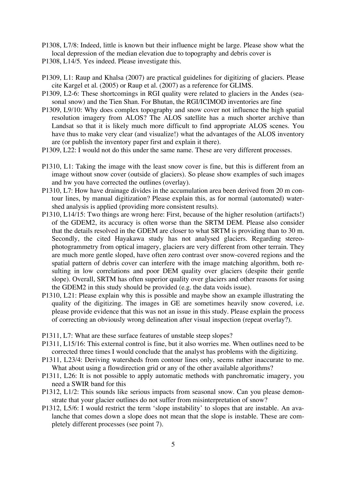- P1308, L7/8: Indeed, little is known but their influence might be large. Please show what the local depression of the median elevation due to topography and debris cover is
- P1308, L14/5. Yes indeed. Please investigate this.
- P1309, L1: Raup and Khalsa (2007) are practical guidelines for digitizing of glaciers. Please cite Kargel et al. (2005) or Raup et al. (2007) as a reference for GLIMS.
- P1309, L2-6: These shortcomings in RGI quality were related to glaciers in the Andes (seasonal snow) and the Tien Shan. For Bhutan, the RGI/ICIMOD inventories are fine
- P1309, L9/10: Why does complex topography and snow cover not influence the high spatial resolution imagery from ALOS? The ALOS satellite has a much shorter archive than Landsat so that it is likely much more difficult to find appropriate ALOS scenes. You have thus to make very clear (and visualize!) what the advantages of the ALOS inventory are (or publish the inventory paper first and explain it there).
- P1309, L22: I would not do this under the same name. These are very different processes.
- P1310, L1: Taking the image with the least snow cover is fine, but this is different from an image without snow cover (outside of glaciers). So please show examples of such images and hw you have corrected the outlines (overlay).
- P1310, L7: How have drainage divides in the accumulation area been derived from 20 m contour lines, by manual digitization? Please explain this, as for normal (automated) watershed analysis is applied (providing more consistent results).
- P1310, L14/15: Two things are wrong here: First, because of the higher resolution (artifacts!) of the GDEM2, its accuracy is often worse than the SRTM DEM. Please also consider that the details resolved in the GDEM are closer to what SRTM is providing than to 30 m. Secondly, the cited Hayakawa study has not analysed glaciers. Regarding stereophotogrammetry from optical imagery, glaciers are very different from other terrain. They are much more gentle sloped, have often zero contrast over snow-covered regions and the spatial pattern of debris cover can interfere with the image matching algorithm, both resulting in low correlations and poor DEM quality over glaciers (despite their gentle slope). Overall, SRTM has often superior quality over glaciers and other reasons for using the GDEM2 in this study should be provided (e.g. the data voids issue).
- P1310, L21: Please explain why this is possible and maybe show an example illustrating the quality of the digitizing. The images in GE are sometimes heavily snow covered, i.e. please provide evidence that this was not an issue in this study. Please explain the process of correcting an obviously wrong delineation after visual inspection (repeat overlay?).
- P1311, L7: What are these surface features of unstable steep slopes?
- P1311, L15/16: This external control is fine, but it also worries me. When outlines need to be corrected three times I would conclude that the analyst has problems with the digitizing.
- P1311, L23/4: Deriving watersheds from contour lines only, seems rather inaccurate to me. What about using a flowdirection grid or any of the other available algorithms?
- P1311, L26: It is not possible to apply automatic methods with panchromatic imagery, you need a SWIR band for this
- P1312, L1/2: This sounds like serious impacts from seasonal snow. Can you please demonstrate that your glacier outlines do not suffer from misinterpretation of snow?
- P1312, L5/6: I would restrict the term 'slope instability' to slopes that are instable. An avalanche that comes down a slope does not mean that the slope is instable. These are completely different processes (see point 7).